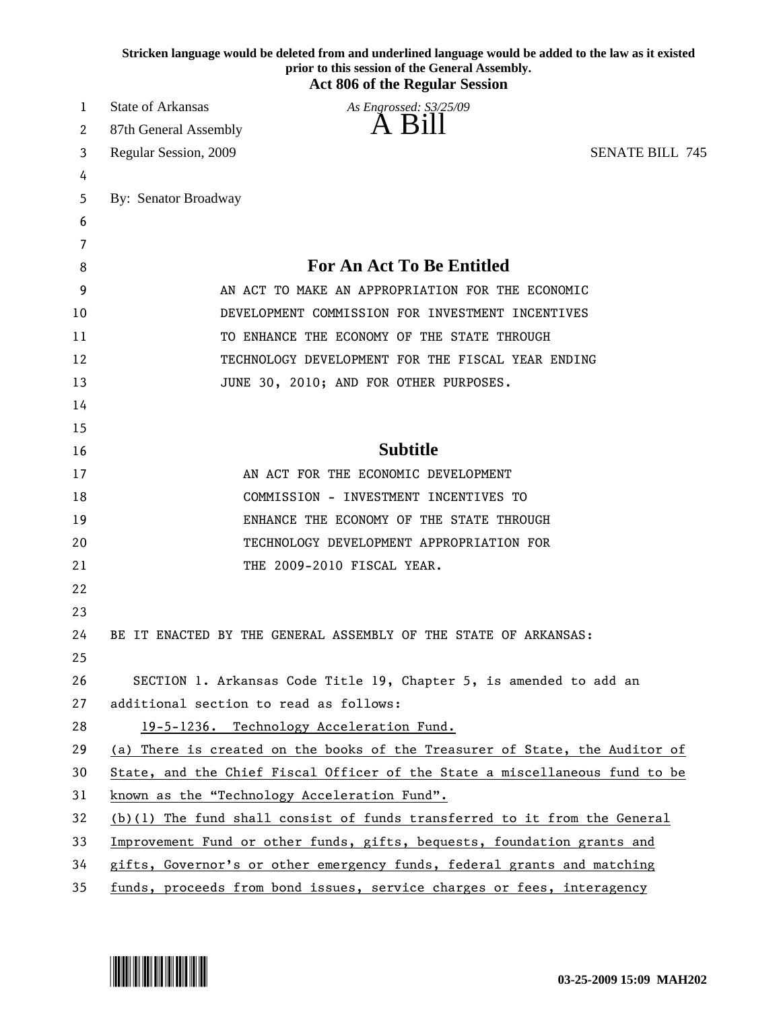|    | Stricken language would be deleted from and underlined language would be added to the law as it existed<br>prior to this session of the General Assembly.<br><b>Act 806 of the Regular Session</b> |  |
|----|----------------------------------------------------------------------------------------------------------------------------------------------------------------------------------------------------|--|
| 1  | <b>State of Arkansas</b><br>As Engrossed: S3/25/09                                                                                                                                                 |  |
| 2  | 87th General Assembly                                                                                                                                                                              |  |
| 3  | <b>SENATE BILL 745</b><br>Regular Session, 2009                                                                                                                                                    |  |
| 4  |                                                                                                                                                                                                    |  |
| 5  | By: Senator Broadway                                                                                                                                                                               |  |
| 6  |                                                                                                                                                                                                    |  |
| 7  |                                                                                                                                                                                                    |  |
| 8  | <b>For An Act To Be Entitled</b>                                                                                                                                                                   |  |
| 9  | AN ACT TO MAKE AN APPROPRIATION FOR THE ECONOMIC                                                                                                                                                   |  |
| 10 | DEVELOPMENT COMMISSION FOR INVESTMENT INCENTIVES                                                                                                                                                   |  |
| 11 | TO ENHANCE THE ECONOMY OF THE STATE THROUGH                                                                                                                                                        |  |
| 12 | TECHNOLOGY DEVELOPMENT FOR THE FISCAL YEAR ENDING                                                                                                                                                  |  |
| 13 | JUNE 30, 2010; AND FOR OTHER PURPOSES.                                                                                                                                                             |  |
| 14 |                                                                                                                                                                                                    |  |
| 15 |                                                                                                                                                                                                    |  |
| 16 | <b>Subtitle</b>                                                                                                                                                                                    |  |
| 17 | AN ACT FOR THE ECONOMIC DEVELOPMENT                                                                                                                                                                |  |
| 18 | COMMISSION - INVESTMENT INCENTIVES TO                                                                                                                                                              |  |
| 19 | ENHANCE THE ECONOMY OF THE STATE THROUGH                                                                                                                                                           |  |
| 20 | TECHNOLOGY DEVELOPMENT APPROPRIATION FOR                                                                                                                                                           |  |
| 21 | THE 2009-2010 FISCAL YEAR.                                                                                                                                                                         |  |
| 22 |                                                                                                                                                                                                    |  |
| 23 |                                                                                                                                                                                                    |  |
| 24 | BE IT ENACTED BY THE GENERAL ASSEMBLY OF THE STATE OF ARKANSAS:                                                                                                                                    |  |
| 25 |                                                                                                                                                                                                    |  |
| 26 | SECTION 1. Arkansas Code Title 19, Chapter 5, is amended to add an                                                                                                                                 |  |
| 27 | additional section to read as follows:                                                                                                                                                             |  |
| 28 | 19-5-1236. Technology Acceleration Fund.                                                                                                                                                           |  |
| 29 | (a) There is created on the books of the Treasurer of State, the Auditor of                                                                                                                        |  |
| 30 | State, and the Chief Fiscal Officer of the State a miscellaneous fund to be                                                                                                                        |  |
| 31 | known as the "Technology Acceleration Fund".                                                                                                                                                       |  |
| 32 | $(b)(1)$ The fund shall consist of funds transferred to it from the General                                                                                                                        |  |
| 33 | Improvement Fund or other funds, gifts, bequests, foundation grants and                                                                                                                            |  |
| 34 | gifts, Governor's or other emergency funds, federal grants and matching                                                                                                                            |  |
| 35 | funds, proceeds from bond issues, service charges or fees, interagency                                                                                                                             |  |

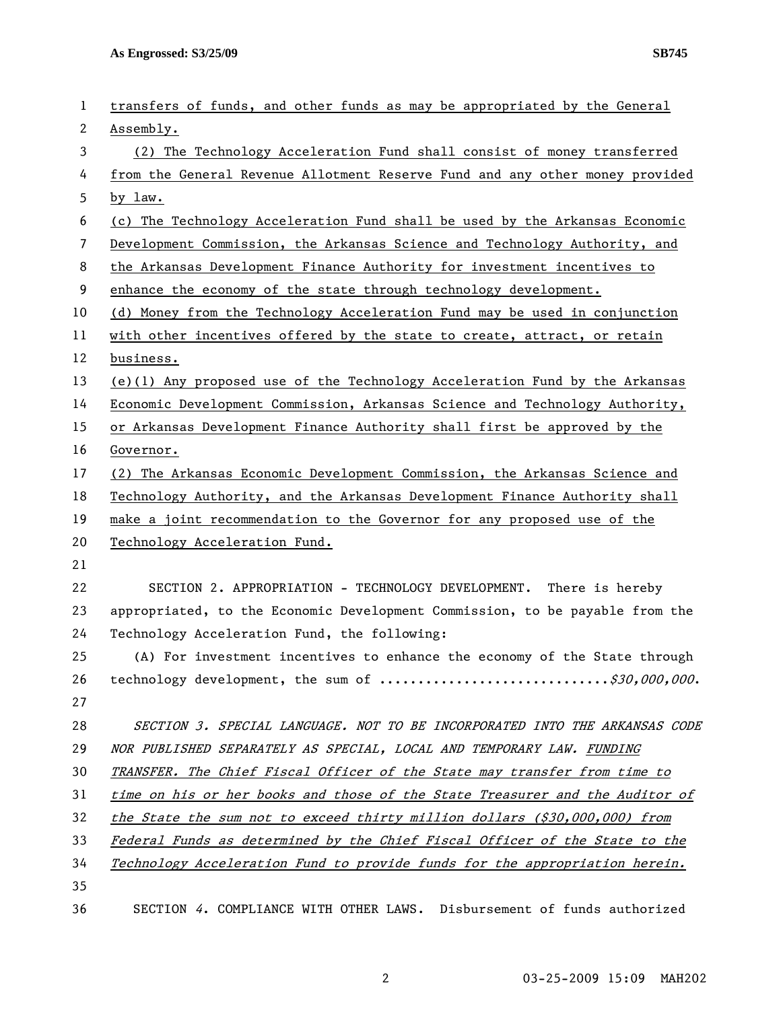| 1            | transfers of funds, and other funds as may be appropriated by the General    |
|--------------|------------------------------------------------------------------------------|
| $\mathbf{2}$ | Assembly.                                                                    |
| 3            | (2) The Technology Acceleration Fund shall consist of money transferred      |
| 4            | from the General Revenue Allotment Reserve Fund and any other money provided |
| 5            | by law.                                                                      |
| 6            | (c) The Technology Acceleration Fund shall be used by the Arkansas Economic  |
| 7            | Development Commission, the Arkansas Science and Technology Authority, and   |
| 8            | the Arkansas Development Finance Authority for investment incentives to      |
| 9            | enhance the economy of the state through technology development.             |
| 10           | (d) Money from the Technology Acceleration Fund may be used in conjunction   |
| 11           | with other incentives offered by the state to create, attract, or retain     |
| 12           | business.                                                                    |
| 13           | (e)(1) Any proposed use of the Technology Acceleration Fund by the Arkansas  |
| 14           | Economic Development Commission, Arkansas Science and Technology Authority,  |
| 15           | or Arkansas Development Finance Authority shall first be approved by the     |
| 16           | Governor.                                                                    |
| 17           | (2) The Arkansas Economic Development Commission, the Arkansas Science and   |
| 18           | Technology Authority, and the Arkansas Development Finance Authority shall   |
| 19           | make a joint recommendation to the Governor for any proposed use of the      |
| 20           | Technology Acceleration Fund.                                                |
| 21           |                                                                              |
| 22           | SECTION 2. APPROPRIATION - TECHNOLOGY DEVELOPMENT. There is hereby           |
| 23           | appropriated, to the Economic Development Commission, to be payable from the |
| 24           | Technology Acceleration Fund, the following:                                 |
| 25           | (A) For investment incentives to enhance the economy of the State through    |
| 26           |                                                                              |
| 27           | technology development, the sum of \$30,000,000.                             |
|              |                                                                              |
| 28           | SECTION 3. SPECIAL LANGUAGE. NOT TO BE INCORPORATED INTO THE ARKANSAS CODE   |
| 29           | NOR PUBLISHED SEPARATELY AS SPECIAL, LOCAL AND TEMPORARY LAW. FUNDING        |
| 30           | TRANSFER. The Chief Fiscal Officer of the State may transfer from time to    |
| 31           | time on his or her books and those of the State Treasurer and the Auditor of |
| 32           | the State the sum not to exceed thirty million dollars $(\$30,000,000)$ from |
| 33           | Federal Funds as determined by the Chief Fiscal Officer of the State to the  |
| 34           | Technology Acceleration Fund to provide funds for the appropriation herein.  |
| 35           |                                                                              |